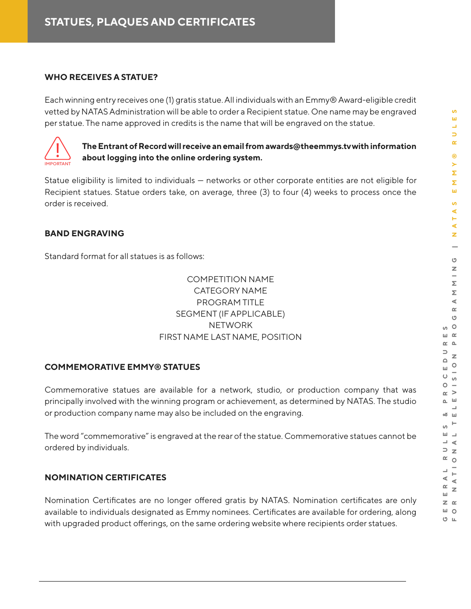#### **WHO RECEIVES A STATUE?**

Each winning entry receives one (1) gratis statue. All individuals with an Emmy® Award-eligible credit vetted by NATAS Administration will be able to order a Recipient statue. One name may be engraved per statue. The name approved in credits is the name that will be engraved on the statue.



**The Entrant of Record will receive an email from awards@theemmys.tv with information**   $\frac{1}{\sqrt{2}}$  about logging into the online ordering system.

Statue eligibility is limited to individuals — networks or other corporate entities are not eligible for Recipient statues. Statue orders take, on average, three (3) to four (4) weeks to process once the order is received.

## **BAND ENGRAVING**

Standard format for all statues is as follows:

# COMPETITION NAME CATEGORY NAME PROGRAM TITLE SEGMENT (IF APPLICABLE) **NETWORK** FIRST NAME LAST NAME, POSITION

## **COMMEMORATIVE EMMY® STATUES**

Commemorative statues are available for a network, studio, or production company that was principally involved with the winning program or achievement, as determined by NATAS. The studio or production company name may also be included on the engraving.

The word "commemorative" is engraved at the rear of the statue. Commemorative statues cannot be ordered by individuals.

## **NOMINATION CERTIFICATES**

Nomination Certificates are no longer offered gratis by NATAS. Nomination certificates are only available to individuals designated as Emmy nominees. Certificates are available for ordering, along with upgraded product offerings, on the same ordering website where recipients order statues.

**S**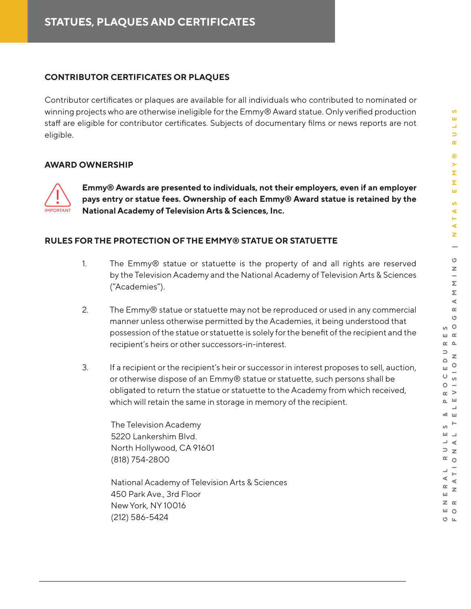### **CONTRIBUTOR CERTIFICATES OR PLAQUES**

Contributor certificates or plaques are available for all individuals who contributed to nominated or winning projects who are otherwise ineligible for the Emmy® Award statue. Only verified production staff are eligible for contributor certificates. Subjects of documentary films or news reports are not eligible.

#### **AWARD OWNERSHIP**



**Emmy® Awards are presented to individuals, not their employers, even if an employer pays entry or statue fees. Ownership of each Emmy® Award statue is retained by the MPORTANT** National Academy of Television Arts & Sciences, Inc.

#### **RULES FOR THE PROTECTION OF THE EMMY® STATUE OR STATUETTE**

- 1. The Emmy® statue or statuette is the property of and all rights are reserved by the Television Academy and the National Academy of Television Arts & Sciences ("Academies").
- 2. The Emmy® statue or statuette may not be reproduced or used in any commercial manner unless otherwise permitted by the Academies, it being understood that possession of the statue or statuette is solely for the benefit of the recipient and the recipient's heirs or other successors-in-interest.
- 3. If a recipient or the recipient's heir or successor in interest proposes to sell, auction, or otherwise dispose of an Emmy® statue or statuette, such persons shall be obligated to return the statue or statuette to the Academy from which received, which will retain the same in storage in memory of the recipient.

The Television Academy 5220 Lankershim Blvd. North Hollywood, CA 91601 (818) 754-2800

National Academy of Television Arts & Sciences 450 Park Ave., 3rd Floor New York, NY 10016 (212) 586-5424